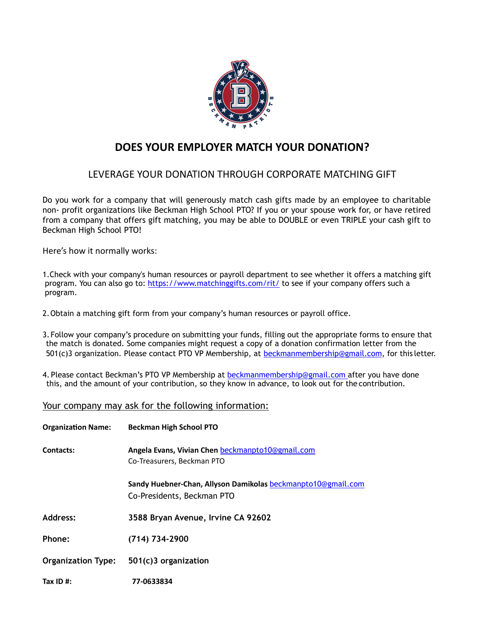

# **DOES YOUR EMPLOYER MATCH YOUR DONATION?**

### LEVERAGE YOUR DONATION THROUGH CORPORATE MATCHING GIFT

Do you work for a company that will generously match cash gifts made by an employee to charitable non- profit organizations like Beckman High School PTO? If you or your spouse work for, or have retired from a company that offers gift matching, you may be able to DOUBLE or even TRIPLE your cash gift to Beckman High School PTO!

Here's how it normally works:

1.Check with your company's human resources or payroll department to see whether it offers a matching gift program. You can also go to: https://[www.matchinggifts.com/rit/](http://www.matchinggifts.com/rit/) to see if your company offers such a program.

- 2.Obtain a matching gift form from your company's human resources or payroll office.
- 3.Follow your company's procedure on submitting your funds, filling out the appropriate forms to ensure that the match is donated. Some companies might request a copy of a donation confirmation letter from the 501(c)3 organization. Please contact PTO VP Membership, at [beckmanmembership@gmail.com](mailto:beckmanmembership@gmail.com)[,](mailto:rakshagopalpto@gmail.com) for this letter.
- 4. Please contact Beckman's PTO VP Membership at [beckmanmembership@gmail.com](mailto:beckmanmembership@gmail.com) after you have done this, and the amount of your contribution, so they know in advance, to look out for the contribution.

### Your company may ask for the following information:

| <b>Organization Name:</b> | <b>Beckman High School PTO</b>                                                             |
|---------------------------|--------------------------------------------------------------------------------------------|
| Contacts:                 | Angela Evans, Vivian Chen beckmanpto10@gmail.com<br>Co-Treasurers, Beckman PTO             |
|                           | Sandy Huebner-Chan, Allyson Damikolas beckmanpto10@gmail.com<br>Co-Presidents, Beckman PTO |
| <b>Address:</b>           | 3588 Bryan Avenue, Irvine CA 92602                                                         |
| Phone:                    | (714) 734-2900                                                                             |
|                           | Organization Type: 501(c)3 organization                                                    |
| Tax ID $#$ :              | 77-0633834                                                                                 |